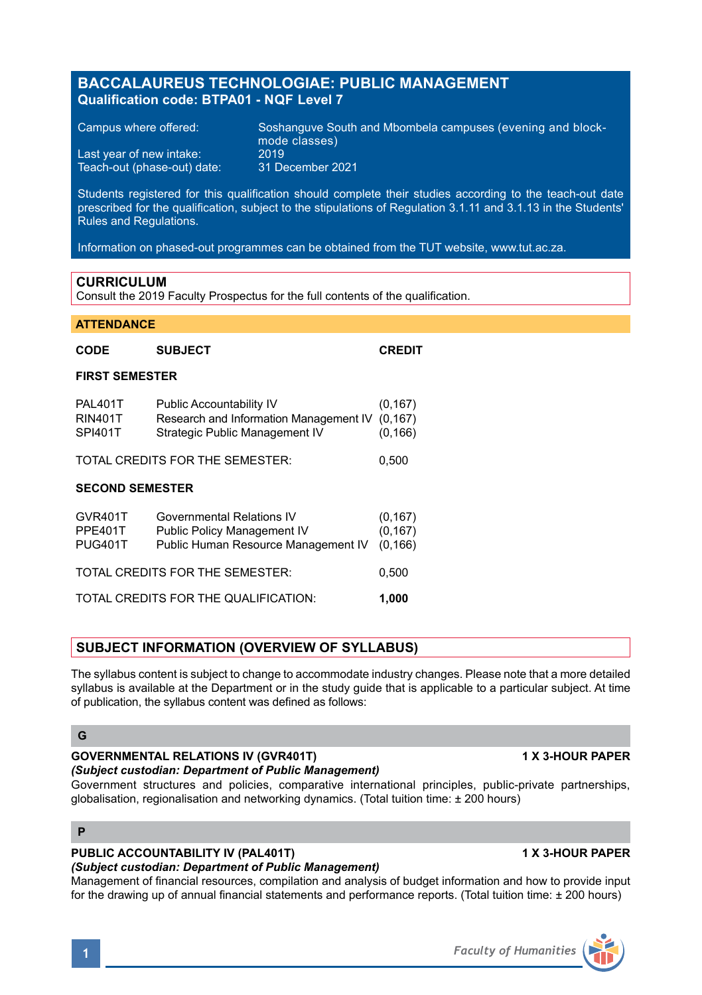## **BACCALAUREUS TECHNOLOGIAE: PUBLIC MANAGEMENT Qualification code: BTPA01 - NQF Level 7**

Teach-out (phase-out) date:

Campus where offered: Soshanguve South and Mbombela campuses (evening and block mode classes) Last year of new intake: 2019<br>Teach-out (phase-out) date: 31 December 2021

Students registered for this qualification should complete their studies according to the teach-out date prescribed for the qualification, subject to the stipulations of Regulation 3.1.11 and 3.1.13 in the Students' Rules and Regulations.

Information on phased-out programmes can be obtained from the TUT website, www.tut.ac.za.

### **CURRICULUM**

Consult the 2019 Faculty Prospectus for the full contents of the qualification.

#### **ATTENDANCE**

| CODE                                 | <b>SUBJECT</b>                                                                                       | <b>CREDIT</b>                    |
|--------------------------------------|------------------------------------------------------------------------------------------------------|----------------------------------|
| <b>FIRST SEMESTER</b>                |                                                                                                      |                                  |
| PAL401T<br><b>RIN401T</b><br>SPI401T | Public Accountability IV<br>Research and Information Management IV<br>Strategic Public Management IV | (0, 167)<br>(0, 167)<br>(0, 166) |
| TOTAL CREDITS FOR THE SEMESTER:      |                                                                                                      | 0,500                            |
| <b>SECOND SEMESTER</b>               |                                                                                                      |                                  |
| GVR401T<br>PPE401T<br><b>PUG401T</b> | Governmental Relations IV<br>Public Policy Management IV<br>Public Human Resource Management IV      | (0, 167)<br>(0, 167)<br>(0, 166) |
| TOTAL CREDITS FOR THE SEMESTER:      |                                                                                                      |                                  |
| TOTAL CREDITS FOR THE QUALIFICATION: |                                                                                                      |                                  |

## **SUBJECT INFORMATION (OVERVIEW OF SYLLABUS)**

The syllabus content is subject to change to accommodate industry changes. Please note that a more detailed syllabus is available at the Department or in the study guide that is applicable to a particular subject. At time of publication, the syllabus content was defined as follows:

### **G**

## **GOVERNMENTAL RELATIONS IV (GVR401T) 1 X 3-HOUR PAPER**

#### *(Subject custodian: Department of Public Management)* Government structures and policies, comparative international principles, public-private partnerships,

globalisation, regionalisation and networking dynamics. (Total tuition time: ± 200 hours)

## **P**

## **PUBLIC ACCOUNTABILITY IV (PAL401T) 1 X 3-HOUR PAPER**

### *(Subject custodian: Department of Public Management)*

Management of financial resources, compilation and analysis of budget information and how to provide input for the drawing up of annual financial statements and performance reports. (Total tuition time: ± 200 hours)

## **1** *Faculty of Humanities*